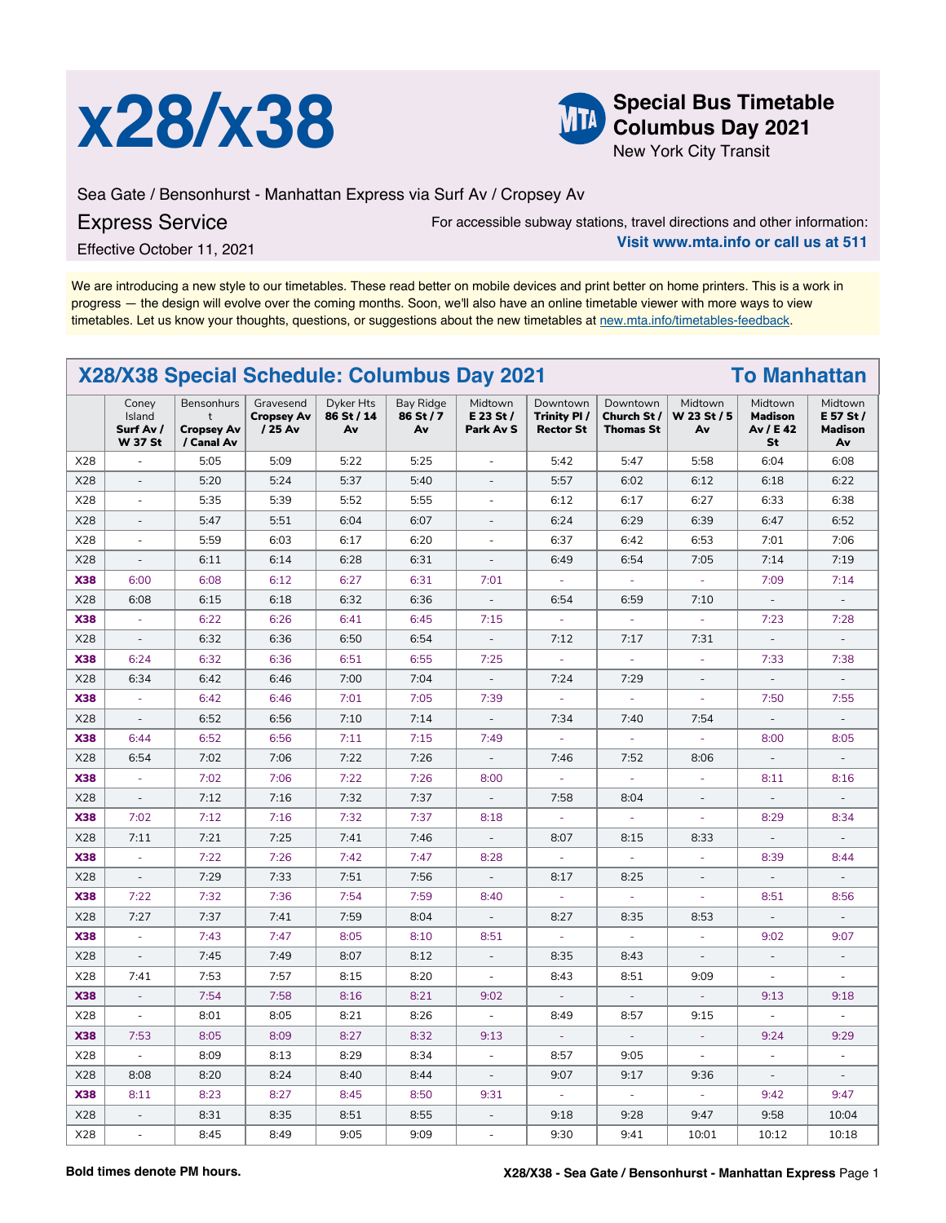



**Columbus Day 2021**

New York City Transit

Sea Gate / Bensonhurst - Manhattan Express via Surf Av / Cropsey Av

## Express Service

For accessible subway stations, travel directions and other information:

Effective October 11, 2021

**Visit www.mta.info or call us at 511**

We are introducing a new style to our timetables. These read better on mobile devices and print better on home printers. This is a work in progress — the design will evolve over the coming months. Soon, we'll also have an online timetable viewer with more ways to view timetables. Let us know your thoughts, questions, or suggestions about the new timetables at [new.mta.info/timetables-feedback](https://new.mta.info/timetables-feedback).

| X28/X38 Special Schedule: Columbus Day 2021<br><b>To Manhattan</b> |                                                |                                                             |                                           |                               |                              |                                   |                                             |                                            |                              |                                              |                                              |
|--------------------------------------------------------------------|------------------------------------------------|-------------------------------------------------------------|-------------------------------------------|-------------------------------|------------------------------|-----------------------------------|---------------------------------------------|--------------------------------------------|------------------------------|----------------------------------------------|----------------------------------------------|
|                                                                    | Coney<br>Island<br>Surf Av /<br><b>W 37 St</b> | Bensonhurs<br>$\ddagger$<br><b>Cropsey Av</b><br>/ Canal Av | Gravesend<br><b>Cropsey Av</b><br>/ 25 Av | Dyker Hts<br>86 St / 14<br>Av | Bay Ridge<br>86 St / 7<br>Av | Midtown<br>E 23 St /<br>Park Av S | Downtown<br>Trinity PI/<br><b>Rector St</b> | Downtown<br>Church St/<br><b>Thomas St</b> | Midtown<br>W 23 St / 5<br>Av | Midtown<br><b>Madison</b><br>Av / E 42<br>St | Midtown<br>E 57 St /<br><b>Madison</b><br>Av |
| X28                                                                | $\overline{\phantom{a}}$                       | 5:05                                                        | 5:09                                      | 5:22                          | 5:25                         | $\overline{a}$                    | 5:42                                        | 5:47                                       | 5:58                         | 6:04                                         | 6:08                                         |
| X28                                                                | $\overline{\phantom{a}}$                       | 5:20                                                        | 5:24                                      | 5:37                          | 5:40                         | $\overline{\phantom{a}}$          | 5:57                                        | 6:02                                       | 6:12                         | 6:18                                         | 6:22                                         |
| X28                                                                | $\overline{\phantom{a}}$                       | 5:35                                                        | 5:39                                      | 5:52                          | 5:55                         | $\blacksquare$                    | 6:12                                        | 6:17                                       | 6:27                         | 6:33                                         | 6:38                                         |
| X28                                                                | $\overline{\phantom{a}}$                       | 5:47                                                        | 5:51                                      | 6:04                          | 6:07                         | $\overline{\phantom{a}}$          | 6:24                                        | 6:29                                       | 6:39                         | 6:47                                         | 6:52                                         |
| X28                                                                | $\sim$                                         | 5:59                                                        | 6:03                                      | 6:17                          | 6:20                         | $\sim$                            | 6:37                                        | 6:42                                       | 6:53                         | 7:01                                         | 7:06                                         |
| X28                                                                | $\overline{\phantom{a}}$                       | 6:11                                                        | 6:14                                      | 6:28                          | 6:31                         | $\overline{\phantom{a}}$          | 6:49                                        | 6:54                                       | 7:05                         | 7:14                                         | 7:19                                         |
| <b>X38</b>                                                         | 6:00                                           | 6:08                                                        | 6:12                                      | 6:27                          | 6:31                         | 7:01                              | ä,                                          | ä,                                         | ä,                           | 7:09                                         | 7:14                                         |
| X28                                                                | 6:08                                           | 6:15                                                        | 6:18                                      | 6:32                          | 6:36                         | $\overline{\phantom{a}}$          | 6:54                                        | 6:59                                       | 7:10                         | $\overline{\phantom{a}}$                     | $\overline{\phantom{a}}$                     |
| <b>X38</b>                                                         | $\omega$                                       | 6:22                                                        | 6:26                                      | 6:41                          | 6:45                         | 7:15                              | $\omega$                                    | $\blacksquare$                             | ÷                            | 7:23                                         | 7:28                                         |
| X28                                                                | $\overline{\phantom{a}}$                       | 6:32                                                        | 6:36                                      | 6:50                          | 6:54                         | $\blacksquare$                    | 7:12                                        | 7:17                                       | 7:31                         | $\Box$                                       | $\overline{a}$                               |
| <b>X38</b>                                                         | 6:24                                           | 6:32                                                        | 6:36                                      | 6:51                          | 6:55                         | 7:25                              | ä,                                          | $\blacksquare$                             | ÷                            | 7:33                                         | 7:38                                         |
| X28                                                                | 6:34                                           | 6:42                                                        | 6:46                                      | 7:00                          | 7:04                         | $\blacksquare$                    | 7:24                                        | 7:29                                       | $\overline{\phantom{a}}$     | $\overline{\phantom{a}}$                     | $\blacksquare$                               |
| <b>X38</b>                                                         | $\bar{z}$                                      | 6:42                                                        | 6:46                                      | 7:01                          | 7:05                         | 7:39                              | ÷,                                          | $\Box$                                     | $\omega$                     | 7:50                                         | 7:55                                         |
| X28                                                                | $\overline{a}$                                 | 6:52                                                        | 6:56                                      | 7:10                          | 7:14                         | $\overline{\phantom{a}}$          | 7:34                                        | 7:40                                       | 7:54                         | ÷,                                           | $\overline{a}$                               |
| <b>X38</b>                                                         | 6:44                                           | 6:52                                                        | 6:56                                      | 7:11                          | 7:15                         | 7:49                              | $\sim$                                      | ÷.                                         | ä,                           | 8:00                                         | 8:05                                         |
| X28                                                                | 6:54                                           | 7:02                                                        | 7:06                                      | 7:22                          | 7:26                         | $\Box$                            | 7:46                                        | 7:52                                       | 8:06                         | $\overline{\phantom{a}}$                     | $\Box$                                       |
| <b>X38</b>                                                         | $\sim$                                         | 7:02                                                        | 7:06                                      | 7:22                          | 7:26                         | 8:00                              | $\overline{\phantom{a}}$                    | $\sim$                                     | ٠                            | 8:11                                         | 8:16                                         |
| X28                                                                | $\omega$                                       | 7:12                                                        | 7:16                                      | 7:32                          | 7:37                         | $\overline{\phantom{a}}$          | 7:58                                        | 8:04                                       | $\overline{\phantom{a}}$     | $\sim$                                       | $\bar{a}$                                    |
| <b>X38</b>                                                         | 7:02                                           | 7:12                                                        | 7:16                                      | 7:32                          | 7:37                         | 8:18                              | $\overline{\phantom{a}}$                    | ÷.                                         | ä,                           | 8:29                                         | 8:34                                         |
| X28                                                                | 7:11                                           | 7:21                                                        | 7:25                                      | 7:41                          | 7:46                         | $\overline{\phantom{a}}$          | 8:07                                        | 8:15                                       | 8:33                         | $\overline{\phantom{a}}$                     | $\overline{\phantom{a}}$                     |
| <b>X38</b>                                                         | ÷                                              | 7:22                                                        | 7:26                                      | 7:42                          | 7:47                         | 8:28                              | $\overline{\phantom{a}}$                    | ä,                                         | $\sim$                       | 8:39                                         | 8:44                                         |
| X28                                                                | $\overline{\phantom{a}}$                       | 7:29                                                        | 7:33                                      | 7:51                          | 7:56                         | $\blacksquare$                    | 8:17                                        | 8:25                                       | $\overline{\phantom{a}}$     | $\overline{\phantom{a}}$                     | $\overline{a}$                               |
| <b>X38</b>                                                         | 7:22                                           | 7:32                                                        | 7:36                                      | 7:54                          | 7:59                         | 8:40                              | ä,                                          | ä,                                         | ä,                           | 8:51                                         | 8:56                                         |
| X28                                                                | 7:27                                           | 7:37                                                        | 7:41                                      | 7:59                          | 8:04                         | $\Box$                            | 8:27                                        | 8:35                                       | 8:53                         | $\overline{\phantom{a}}$                     | $\overline{a}$                               |
| <b>X38</b>                                                         | $\sim$                                         | 7:43                                                        | 7:47                                      | 8:05                          | 8:10                         | 8:51                              | à,                                          | ä,                                         | ä,                           | 9:02                                         | 9:07                                         |
| X28                                                                | $\overline{\phantom{a}}$                       | 7:45                                                        | 7:49                                      | 8:07                          | 8:12                         | $\overline{\phantom{a}}$          | 8:35                                        | 8:43                                       | $\blacksquare$               | $\overline{\phantom{a}}$                     | $\overline{\phantom{a}}$                     |
| X28                                                                | 7:41                                           | 7:53                                                        | 7:57                                      | 8:15                          | 8:20                         | $\bar{\phantom{a}}$               | 8:43                                        | 8:51                                       | 9:09                         | $\Box$                                       | $\sim$                                       |
| <b>X38</b>                                                         | $\omega$                                       | 7:54                                                        | 7:58                                      | 8:16                          | 8:21                         | 9:02                              | $\bar{\phantom{a}}$                         | $\omega$                                   | ÷,                           | 9:13                                         | 9:18                                         |
| X28                                                                | $\overline{\phantom{a}}$                       | 8:01                                                        | 8:05                                      | 8:21                          | 8:26                         | $\blacksquare$                    | 8:49                                        | 8:57                                       | 9:15                         | $\overline{\phantom{a}}$                     | $\overline{\phantom{a}}$                     |
| <b>X38</b>                                                         | 7:53                                           | 8:05                                                        | 8:09                                      | 8:27                          | 8:32                         | 9:13                              | $\overline{\phantom{a}}$                    | $\overline{\phantom{a}}$                   | $\sim$                       | 9:24                                         | 9:29                                         |
| X28                                                                | $\overline{\phantom{a}}$                       | 8:09                                                        | 8:13                                      | 8:29                          | 8:34                         | ÷,                                | 8:57                                        | 9:05                                       | $\omega$                     | $\sim$                                       | $\overline{a}$                               |
| X28                                                                | 8:08                                           | 8:20                                                        | 8:24                                      | 8:40                          | 8:44                         | $\overline{\phantom{a}}$          | 9:07                                        | 9:17                                       | 9:36                         | $\mathbf{r}$                                 | $\overline{\phantom{a}}$                     |
| <b>X38</b>                                                         | 8:11                                           | 8:23                                                        | 8:27                                      | 8:45                          | 8:50                         | 9:31                              | ÷.                                          | ä,                                         | ÷.                           | 9:42                                         | 9:47                                         |
| X28                                                                | $\overline{\phantom{a}}$                       | 8:31                                                        | 8:35                                      | 8:51                          | 8:55                         | $\overline{\phantom{a}}$          | 9:18                                        | 9:28                                       | 9:47                         | 9:58                                         | 10:04                                        |
| X28                                                                | $\overline{\phantom{a}}$                       | 8:45                                                        | 8:49                                      | 9:05                          | 9:09                         | ÷,                                | 9:30                                        | 9:41                                       | 10:01                        | 10:12                                        | 10:18                                        |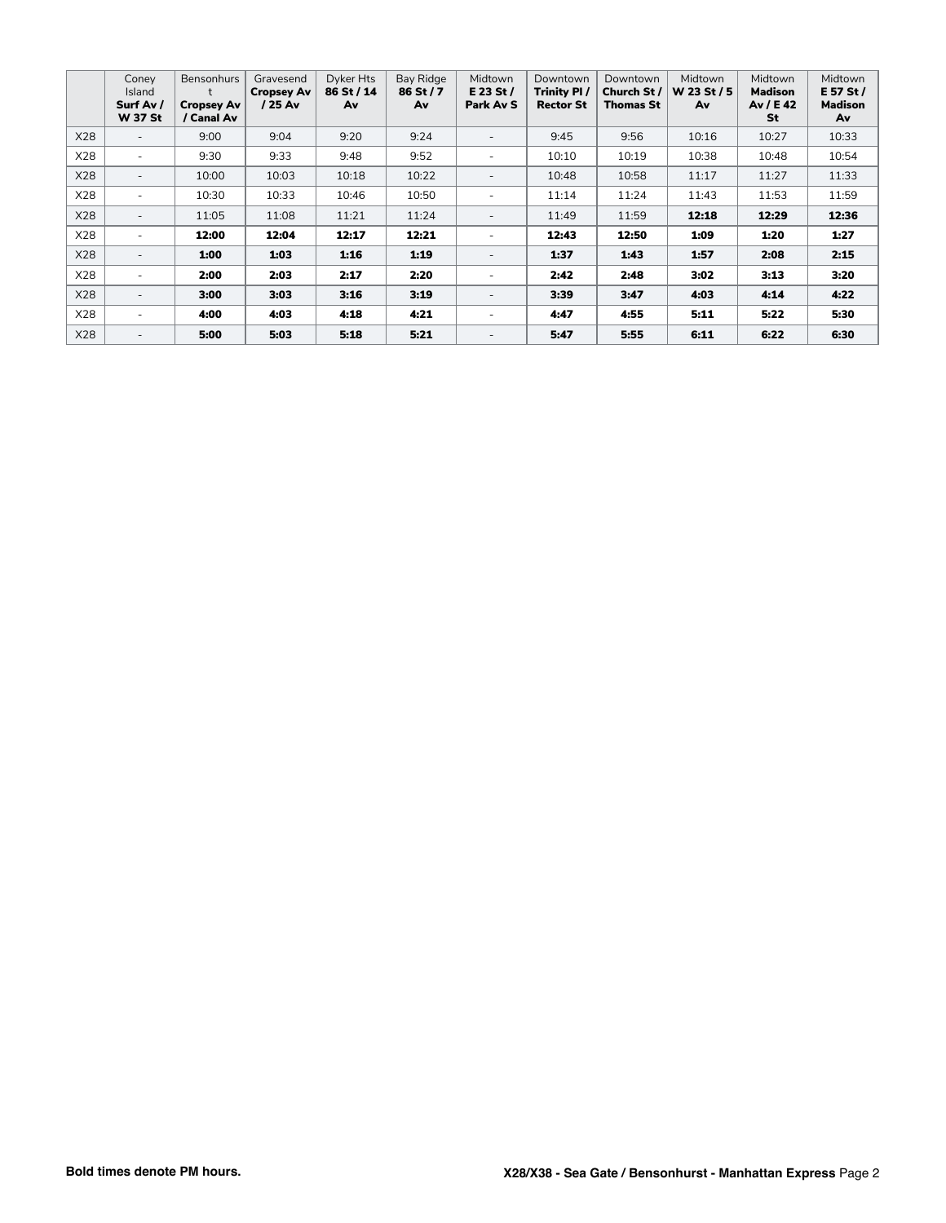|     | Conev<br>Island<br>Surf Av /<br><b>W 37 St</b> | <b>Bensonhurs</b><br><b>Cropsey Av</b><br>/ Canal Av | Gravesend<br><b>Cropsey Av</b><br>/ 25 Av | Dyker Hts<br>86 St / 14<br>Av | Bay Ridge<br>86 St / 7<br>Av | Midtown<br>$E$ 23 St /<br>Park Av S | Downtown<br>Trinity PI/<br><b>Rector St</b> | Downtown<br>Church St /<br>Thomas St | Midtown<br>W 23 St / 5<br>Av | Midtown<br>Madison<br>Av / E 42<br>St | Midtown<br>E 57 St /<br><b>Madison</b><br>Av |
|-----|------------------------------------------------|------------------------------------------------------|-------------------------------------------|-------------------------------|------------------------------|-------------------------------------|---------------------------------------------|--------------------------------------|------------------------------|---------------------------------------|----------------------------------------------|
| X28 | $\overline{\phantom{a}}$                       | 9:00                                                 | 9:04                                      | 9:20                          | 9:24                         | $\overline{a}$                      | 9:45                                        | 9:56                                 | 10:16                        | 10:27                                 | 10:33                                        |
| X28 | $\overline{\phantom{a}}$                       | 9:30                                                 | 9:33                                      | 9:48                          | 9:52                         | ٠                                   | 10:10                                       | 10:19                                | 10:38                        | 10:48                                 | 10:54                                        |
| X28 | $\overline{a}$                                 | 10:00                                                | 10:03                                     | 10:18                         | 10:22                        | $\overline{a}$                      | 10:48                                       | 10:58                                | 11:17                        | 11:27                                 | 11:33                                        |
| X28 | $\overline{\phantom{a}}$                       | 10:30                                                | 10:33                                     | 10:46                         | 10:50                        | $\overline{\phantom{a}}$            | 11:14                                       | 11:24                                | 11:43                        | 11:53                                 | 11:59                                        |
| X28 | $\overline{\phantom{a}}$                       | 11:05                                                | 11:08                                     | 11:21                         | 11:24                        | $\overline{\phantom{a}}$            | 11:49                                       | 11:59                                | 12:18                        | 12:29                                 | 12:36                                        |
| X28 | $\overline{\phantom{a}}$                       | 12:00                                                | 12:04                                     | 12:17                         | 12:21                        | ٠                                   | 12:43                                       | 12:50                                | 1:09                         | 1:20                                  | 1:27                                         |
| X28 | $\overline{\phantom{a}}$                       | 1:00                                                 | 1:03                                      | 1:16                          | 1:19                         | $\overline{a}$                      | 1:37                                        | 1:43                                 | 1:57                         | 2:08                                  | 2:15                                         |
| X28 | $\overline{\phantom{a}}$                       | 2:00                                                 | 2:03                                      | 2:17                          | 2:20                         | $\blacksquare$                      | 2:42                                        | 2:48                                 | 3:02                         | 3:13                                  | 3:20                                         |
| X28 | $\overline{\phantom{a}}$                       | 3:00                                                 | 3:03                                      | 3:16                          | 3:19                         | $\overline{\phantom{a}}$            | 3:39                                        | 3:47                                 | 4:03                         | 4:14                                  | 4:22                                         |
| X28 | $\overline{\phantom{a}}$                       | 4:00                                                 | 4:03                                      | 4:18                          | 4:21                         | $\blacksquare$                      | 4:47                                        | 4:55                                 | 5:11                         | 5:22                                  | 5:30                                         |
| X28 | $\overline{\phantom{a}}$                       | 5:00                                                 | 5:03                                      | 5:18                          | 5:21                         | $\overline{\phantom{a}}$            | 5:47                                        | 5:55                                 | 6:11                         | 6:22                                  | 6:30                                         |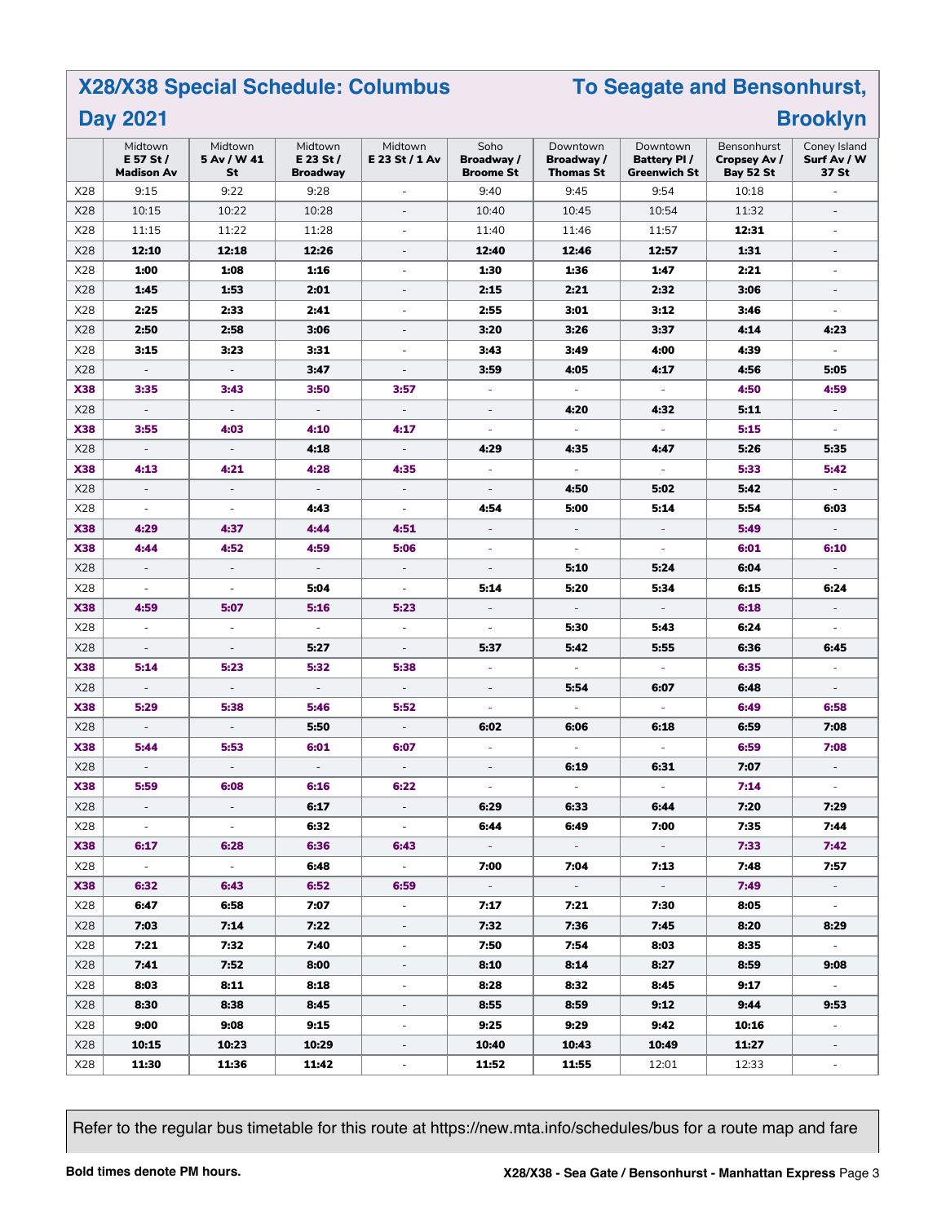## **X28/X38 Special Schedule: Columbus**

## **To Seagate and Bensonhurst, Brooklyn**

|  | <b>Day 2021</b> |  |
|--|-----------------|--|
|--|-----------------|--|

|            | Midtown<br>E 57 St /<br><b>Madison Av</b> | Midtown<br>5 Av / W 41<br>St | Midtown<br>E 23 St $/$<br><b>Broadway</b> | Midtown<br>E 23 St / 1 Av   | Soho<br>Broadway /<br><b>Broome St</b> | Downtown<br>Broadway /<br><b>Thomas St</b> | Downtown<br><b>Battery PI/</b><br>Greenwich St | Bensonhurst<br>Cropsey Av /<br>Bay 52 St | Coney Island<br>Surf Av / W<br>37 St |
|------------|-------------------------------------------|------------------------------|-------------------------------------------|-----------------------------|----------------------------------------|--------------------------------------------|------------------------------------------------|------------------------------------------|--------------------------------------|
| X28        | 9:15                                      | 9:22                         | 9:28                                      | $\equiv$                    | 9:40                                   | 9:45                                       | 9:54                                           | 10:18                                    | $\overline{\phantom{a}}$             |
| X28        | 10:15                                     | 10:22                        | 10:28                                     | $\overline{\phantom{a}}$    | 10:40                                  | 10:45                                      | 10:54                                          | 11:32                                    | $\overline{\phantom{a}}$             |
| X28        | 11:15                                     | 11:22                        | 11:28                                     | $\overline{\phantom{a}}$    | 11:40                                  | 11:46                                      | 11:57                                          | 12:31                                    | $\overline{\phantom{a}}$             |
| X28        | 12:10                                     | 12:18                        | 12:26                                     | ÷,                          | 12:40                                  | 12:46                                      | 12:57                                          | 1:31                                     | $\overline{\phantom{a}}$             |
| X28        | 1:00                                      | 1:08                         | 1:16                                      | ÷,                          | 1:30                                   | 1:36                                       | 1:47                                           | 2:21                                     | ÷,                                   |
| X28        | 1:45                                      | 1:53                         | 2:01                                      | ÷,                          | 2:15                                   | 2:21                                       | 2:32                                           | 3:06                                     | ÷                                    |
| X28        | 2:25                                      | 2:33                         | 2:41                                      | $\overline{\phantom{0}}$    | 2:55                                   | 3:01                                       | 3:12                                           | 3:46                                     | $\overline{\phantom{a}}$             |
| X28        | 2:50                                      | 2:58                         | 3:06                                      | $\overline{\phantom{a}}$    | 3:20                                   | 3:26                                       | 3:37                                           | 4:14                                     | 4:23                                 |
| X28        | 3:15                                      | 3:23                         | 3:31                                      | $\bar{a}$                   | 3:43                                   | 3:49                                       | 4:00                                           | 4:39                                     | $\sim$                               |
| X28        | $\overline{\phantom{a}}$                  | $\overline{\phantom{a}}$     | 3:47                                      | $\overline{\phantom{a}}$    | 3:59                                   | 4:05                                       | 4:17                                           | 4:56                                     | 5:05                                 |
| <b>X38</b> | 3:35                                      | 3:43                         | 3:50                                      | 3:57                        | $\blacksquare$                         | $\blacksquare$                             | $\sim$                                         | 4:50                                     | 4:59                                 |
| X28        | $\overline{\phantom{a}}$                  | $\overline{\phantom{a}}$     | $\overline{\phantom{a}}$                  | $\overline{\phantom{a}}$    | $\bar{a}$                              | 4:20                                       | 4:32                                           | 5:11                                     | $\overline{\phantom{a}}$             |
| <b>X38</b> | 3:55                                      | 4:03                         | 4:10                                      | 4:17                        | ÷,                                     | ÷                                          | $\omega$                                       | 5:15                                     |                                      |
| X28        | $\overline{\phantom{a}}$                  | $\overline{\phantom{a}}$     | 4:18                                      | $\overline{\phantom{a}}$    | 4:29                                   | 4:35                                       | 4:47                                           | 5:26                                     | 5:35                                 |
| <b>X38</b> | 4:13                                      | 4:21                         | 4:28                                      | 4:35                        | $\omega$                               | $\omega$                                   | $\omega$                                       | 5:33                                     | 5:42                                 |
| X28        | $\overline{\phantom{a}}$                  | $\overline{\phantom{a}}$     | $\overline{\phantom{a}}$                  | $\overline{\phantom{a}}$    | $\overline{\phantom{a}}$               | 4:50                                       | 5:02                                           | 5:42                                     | $\sim$                               |
| X28        | $\overline{\phantom{a}}$                  | $\overline{\phantom{a}}$     | 4:43                                      | $\blacksquare$              | 4:54                                   | 5:00                                       | 5:14                                           | 5:54                                     | 6:03                                 |
| <b>X38</b> | 4:29                                      | 4:37                         | 4:44                                      | 4:51                        | $\equiv$                               | ÷                                          | $\overline{\phantom{a}}$                       | 5:49                                     |                                      |
| <b>X38</b> | 4:44                                      | 4:52                         | 4:59                                      | 5:06                        |                                        |                                            | $\omega$                                       | 6:01                                     | 6:10                                 |
| X28        | $\overline{\phantom{a}}$                  | $\overline{\phantom{a}}$     | $\overline{\phantom{a}}$                  | $\overline{\phantom{a}}$    | $\overline{\phantom{a}}$               | 5:10                                       | 5:24                                           | 6:04                                     | $\overline{\phantom{a}}$             |
| X28        | $\overline{\phantom{a}}$                  | $\overline{\phantom{a}}$     | 5:04                                      | $\overline{\phantom{a}}$    | 5:14                                   | 5:20                                       | 5:34                                           | 6:15                                     | 6:24                                 |
| <b>X38</b> | 4:59                                      | 5:07                         | 5:16                                      | 5:23                        | ÷                                      | $\omega$                                   | $\sim$                                         | 6:18                                     | $\sim$                               |
| X28        | $\omega$                                  | $\overline{\phantom{a}}$     | $\overline{\phantom{a}}$                  | $\overline{\phantom{a}}$    | $\overline{\phantom{a}}$               | 5:30                                       | 5:43                                           | 6:24                                     | $\overline{\phantom{a}}$             |
| X28        | $\overline{\phantom{a}}$                  | $\overline{\phantom{a}}$     | 5:27                                      | ÷,                          | 5:37                                   | 5:42                                       | 5:55                                           | 6:36                                     | 6:45                                 |
| <b>X38</b> | 5:14                                      | 5:23                         | 5:32                                      | 5:38                        | $\overline{\phantom{a}}$               | ÷                                          | $\omega$                                       | 6:35                                     |                                      |
| X28        | $\overline{\phantom{a}}$                  | $\overline{\phantom{a}}$     | $\overline{\phantom{a}}$                  | ÷,                          | $\bar{a}$                              | 5:54                                       | 6:07                                           | 6:48                                     | $\overline{\phantom{a}}$             |
| <b>X38</b> | 5:29                                      | 5:38                         | 5:46                                      | 5:52                        | ÷,                                     | ä,                                         | $\overline{\phantom{a}}$                       | 6:49                                     | 6:58                                 |
| X28        | $\overline{\phantom{a}}$                  | $\overline{\phantom{a}}$     | 5:50                                      | $\overline{\phantom{a}}$    | 6:02                                   | 6:06                                       | 6:18                                           | 6:59                                     | 7:08                                 |
| <b>X38</b> | 5:44                                      | 5:53                         | 6:01                                      | 6:07                        | $\omega$                               | $\omega$                                   | $\omega$                                       | 6:59                                     | 7:08                                 |
| X28        | $\overline{\phantom{a}}$                  | $\overline{\phantom{a}}$     | $\overline{\phantom{a}}$                  | $\mathcal{L}_{\mathcal{A}}$ | $\overline{\phantom{a}}$               | 6:19                                       | 6:31                                           | 7:07                                     | $\overline{\phantom{a}}$             |
| <b>X38</b> | 5:59                                      | 6:08                         | 6:16                                      | 6:22                        | $\bar{\phantom{a}}$                    | $\omega$                                   | $\omega$                                       | 7:14                                     | $\equiv$                             |
| X28        | $\overline{\phantom{a}}$                  | $\overline{\phantom{a}}$     | 6:17                                      | ÷,                          | 6:29                                   | 6:33                                       | 6:44                                           | 7:20                                     | 7:29                                 |
| X28        |                                           |                              | 6:32                                      |                             | 6:44                                   | 6:49                                       | 7:00                                           | 7:35                                     | 7:44                                 |
| <b>X38</b> | 6:17                                      | 6:28                         | 6:36                                      | 6:43                        | $\sim$ .                               |                                            | $\sim 10$                                      | 7:33                                     | 7:42                                 |
| X28        | $\sim$                                    | $\sim$                       | 6:48                                      | $\sim$                      | 7:00                                   | 7:04                                       | 7:13                                           | 7:48                                     | 7:57                                 |
| <b>X38</b> | 6:32                                      | 6:43                         | 6:52                                      | 6:59                        | $\sim$ $\sim$                          | $\sim$                                     | $\sim 10$                                      | 7:49                                     | $\sim$                               |
| X28        | 6:47                                      | 6:58                         | 7:07                                      | $\sim$                      | 7:17                                   | 7:21                                       | 7:30                                           | 8:05                                     | $\sim$                               |
| X28        | 7:03                                      | 7:14                         | 7:22                                      | $\sim$                      | 7:32                                   | 7:36                                       | 7:45                                           | 8:20                                     | 8:29                                 |
| X28        | 7:21                                      | 7:32                         | 7:40                                      | ÷,                          | 7:50                                   | 7:54                                       | 8:03                                           | 8:35                                     | $\sim$                               |
| X28        | 7:41                                      | 7:52                         | 8:00                                      | $\overline{\phantom{0}}$    | 8:10                                   | 8:14                                       | 8:27                                           | 8:59                                     | 9:08                                 |
| X28        | 8:03                                      | 8:11                         | 8:18                                      | $\overline{\phantom{a}}$    | 8:28                                   | 8:32                                       | 8:45                                           | 9:17                                     | $\sim$                               |
| X28        | 8:30                                      | 8:38                         | 8:45                                      | ۰.                          | 8:55                                   | 8:59                                       | 9:12                                           | 9:44                                     | 9:53                                 |
| X28        | 9:00                                      | 9:08                         | 9:15                                      | $\overline{\phantom{a}}$    | 9:25                                   | 9:29                                       | 9:42                                           | 10:16                                    | $\sim$                               |
| X28        | 10:15                                     | 10:23                        | 10:29                                     | $\overline{\phantom{a}}$    | 10:40                                  | 10:43                                      | 10:49                                          | 11:27                                    | $\overline{\phantom{a}}$             |
| X28        | 11:30                                     | 11:36                        | 11:42                                     | $\overline{\phantom{a}}$    | 11:52                                  | 11:55                                      | 12:01                                          | 12:33                                    | $\overline{\phantom{a}}$             |

Refer to the regular bus timetable for this route at https://new.mta.info/schedules/bus for a route map and fare